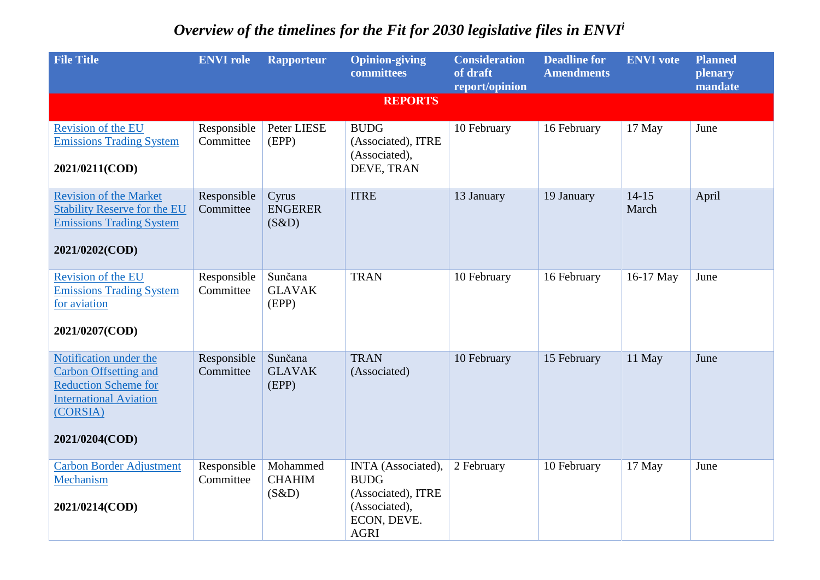## *Overview of the timelines for the Fit for 2030 legislative files in ENVI<sup>i</sup>*

| <b>File Title</b>                                                                                                                                    | <b>ENVI role</b>         | <b>Rapporteur</b>                  | <b>Opinion-giving</b><br>committees                                                                    | <b>Consideration</b><br>of draft<br>report/opinion | <b>Deadline for</b><br><b>Amendments</b> | <b>ENVI</b> vote   | <b>Planned</b><br>plenary<br>mandate |
|------------------------------------------------------------------------------------------------------------------------------------------------------|--------------------------|------------------------------------|--------------------------------------------------------------------------------------------------------|----------------------------------------------------|------------------------------------------|--------------------|--------------------------------------|
|                                                                                                                                                      |                          |                                    | <b>REPORTS</b>                                                                                         |                                                    |                                          |                    |                                      |
| <b>Revision of the EU</b><br><b>Emissions Trading System</b><br>2021/0211(COD)                                                                       | Responsible<br>Committee | Peter LIESE<br>(EPP)               | <b>BUDG</b><br>(Associated), ITRE<br>(Associated),<br>DEVE, TRAN                                       | 10 February                                        | 16 February                              | 17 May             | June                                 |
| <b>Revision of the Market</b><br><b>Stability Reserve for the EU</b><br><b>Emissions Trading System</b><br>2021/0202(COD)                            | Responsible<br>Committee | Cyrus<br><b>ENGERER</b><br>(S&D)   | <b>ITRE</b>                                                                                            | 13 January                                         | 19 January                               | $14 - 15$<br>March | April                                |
| Revision of the EU<br><b>Emissions Trading System</b><br>for aviation<br>2021/0207(COD)                                                              | Responsible<br>Committee | Sunčana<br><b>GLAVAK</b><br>(EPP)  | <b>TRAN</b>                                                                                            | 10 February                                        | 16 February                              | 16-17 May          | June                                 |
| Notification under the<br><b>Carbon Offsetting and</b><br><b>Reduction Scheme for</b><br><b>International Aviation</b><br>(CORSIA)<br>2021/0204(COD) | Responsible<br>Committee | Sunčana<br><b>GLAVAK</b><br>(EPP)  | <b>TRAN</b><br>(Associated)                                                                            | 10 February                                        | 15 February                              | 11 May             | June                                 |
| Carbon Border Adjustment<br>Mechanism<br>2021/0214(COD)                                                                                              | Responsible<br>Committee | Mohammed<br><b>CHAHIM</b><br>(S&D) | INTA (Associated),<br><b>BUDG</b><br>(Associated), ITRE<br>(Associated),<br>ECON, DEVE.<br><b>AGRI</b> | 2 February                                         | 10 February                              | 17 May             | June                                 |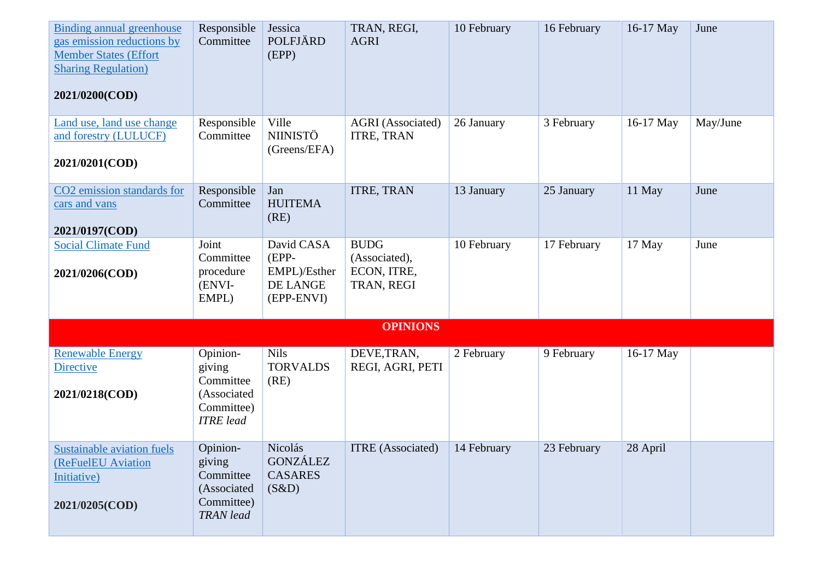| Binding annual greenhouse<br>gas emission reductions by<br><b>Member States (Effort)</b><br><b>Sharing Regulation</b> )<br>2021/0200(COD) | Responsible<br>Committee                                                         | Jessica<br>POLFJÄRD<br>(EPP)                                    | TRAN, REGI,<br><b>AGRI</b>                                | 10 February | 16 February | 16-17 May | June     |  |
|-------------------------------------------------------------------------------------------------------------------------------------------|----------------------------------------------------------------------------------|-----------------------------------------------------------------|-----------------------------------------------------------|-------------|-------------|-----------|----------|--|
| Land use, land use change<br>and forestry (LULUCF)<br>2021/0201(COD)                                                                      | Responsible<br>Committee                                                         | Ville<br><b>NIINISTÖ</b><br>(Greens/EFA)                        | <b>AGRI</b> (Associated)<br>ITRE, TRAN                    | 26 January  | 3 February  | 16-17 May | May/June |  |
| CO2 emission standards for<br>cars and vans<br>2021/0197(COD)                                                                             | Responsible<br>Committee                                                         | Jan<br><b>HUITEMA</b><br>(RE)                                   | <b>ITRE, TRAN</b>                                         | 13 January  | 25 January  | 11 May    | June     |  |
| <b>Social Climate Fund</b><br>2021/0206(COD)                                                                                              | Joint<br>Committee<br>procedure<br>(ENVI-<br>EMPL)                               | David CASA<br>$(EPP-$<br>EMPL)/Esther<br>DE LANGE<br>(EPP-ENVI) | <b>BUDG</b><br>(Associated),<br>ECON, ITRE,<br>TRAN, REGI | 10 February | 17 February | 17 May    | June     |  |
| <b>OPINIONS</b>                                                                                                                           |                                                                                  |                                                                 |                                                           |             |             |           |          |  |
| <b>Renewable Energy</b><br><b>Directive</b><br>2021/0218(COD)                                                                             | Opinion-<br>giving<br>Committee<br>(Associated<br>Committee)<br><b>ITRE</b> lead | <b>Nils</b><br><b>TORVALDS</b><br>(RE)                          | DEVE, TRAN,<br>REGI, AGRI, PETI                           | 2 February  | 9 February  | 16-17 May |          |  |
| <b>Sustainable aviation fuels</b><br>(ReFuelEU Aviation<br>Initiative)<br>2021/0205(COD)                                                  | Opinion-<br>giving<br>Committee<br>(Associated<br>Committee)<br><b>TRAN</b> lead | Nicolás<br><b>GONZÁLEZ</b><br><b>CASARES</b><br>(S&D)           | <b>ITRE</b> (Associated)                                  | 14 February | 23 February | 28 April  |          |  |